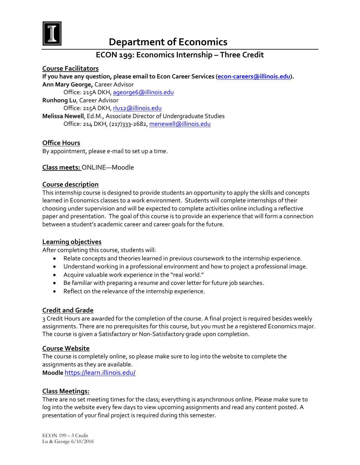

# **Department of Economics**

# **ECON 199: Economics Internship – Three Credit**

**Course Facilitators If you have any question, please email to Econ Career Services [\(econ-careers@illinois.edu\)](mailto:econ-careers@illinois.edu). Ann Mary George,** Career Advisor Office: 215A DKH[, ageorge6@illinois.edu](mailto:ageorge6@illinois.edu) **Runhong Lu**, Career Advisor Office: 215A DKH[, rlu12@illinois.edu](mailto:rlu12@illinois.edu) **Melissa Newell**, Ed.M., Associate Director of Undergraduate Studies Office: 214 DKH, (217)333-2682, [menewell@illinois.edu](mailto:menewell@illinois.edu)

## **Office Hours**

By appointment, please e-mail to set up a time.

#### **Class meets:** ONLINE—Moodle

#### **Course description**

This internship course is designed to provide students an opportunity to apply the skills and concepts learned in Economics classes to a work environment. Students will complete internships of their choosing under supervision and will be expected to complete activities online including a reflective paper and presentation. The goal of this course is to provide an experience that will form a connection between a student's academic career and career goals for the future.

#### **Learning objectives**

After completing this course, students will:

- Relate concepts and theories learned in previous coursework to the internship experience.
- Understand working in a professional environment and how to project a professional image.
- Acquire valuable work experience in the "real world."
- Be familiar with preparing a resume and cover letter for future job searches.
- Reflect on the relevance of the internship experience.

#### **Credit and Grade**

3 Credit Hours are awarded for the completion of the course. A final project is required besides weekly assignments. There are no prerequisites for this course, but you must be a registered Economics major. The course is given a Satisfactory or Non-Satisfactory grade upon completion.

#### **Course Website**

The course is completely online, so please make sure to log into the website to complete the assignments as they are available.

**Moodle** <https://learn.illinois.edu/>

#### **Class Meetings:**

There are no set meeting times for the class; everything is asynchronous online. Please make sure to log into the website every few days to view upcoming assignments and read any content posted. A presentation of your final project is required during this semester.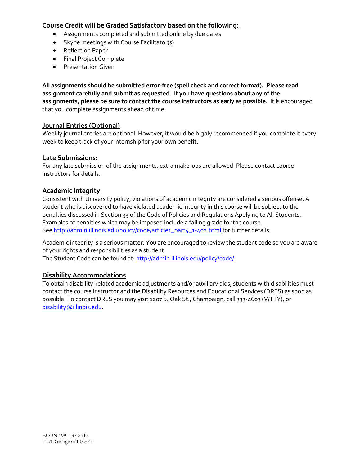## **Course Credit will be Graded Satisfactory based on the following:**

- Assignments completed and submitted online by due dates
- Skype meetings with Course Facilitator(s)
- Reflection Paper
- Final Project Complete
- Presentation Given

**All assignments should be submitted error-free (spell check and correct format). Please read assignment carefully and submit as requested. If you have questions about any of the assignments, please be sure to contact the course instructors as early as possible.** It is encouraged that you complete assignments ahead of time.

## **Journal Entries (Optional)**

Weekly journal entries are optional. However, it would be highly recommended if you complete it every week to keep track of your internship for your own benefit.

## **Late Submissions:**

For any late submission of the assignments, extra make-ups are allowed. Please contact course instructors for details.

## **Academic Integrity**

Consistent with University policy, violations of academic integrity are considered a serious offense. A student who is discovered to have violated academic integrity in this course will be subject to the penalties discussed in Section 33 of the Code of Policies and Regulations Applying to All Students. Examples of penalties which may be imposed include a failing grade for the course. Se[e http://admin.illinois.edu/policy/code/article1\\_part4\\_1-402.html](http://admin.illinois.edu/policy/code/article1_part4_1-402.html) for further details.

Academic integrity is a serious matter. You are encouraged to review the student code so you are aware of your rights and responsibilities as a student.

The Student Code can be found at[: http://admin.illinois.edu/policy/code/](http://admin.illinois.edu/policy/code/)

## **Disability Accommodations**

To obtain disability-related academic adjustments and/or auxiliary aids, students with disabilities must contact the course instructor and the Disability Resources and Educational Services (DRES) as soon as possible. To contact DRES you may visit 1207 S. Oak St., Champaign, call 333-4603 (V/TTY), or [disability@illinois.edu.](mailto:disability@illinois.edu)